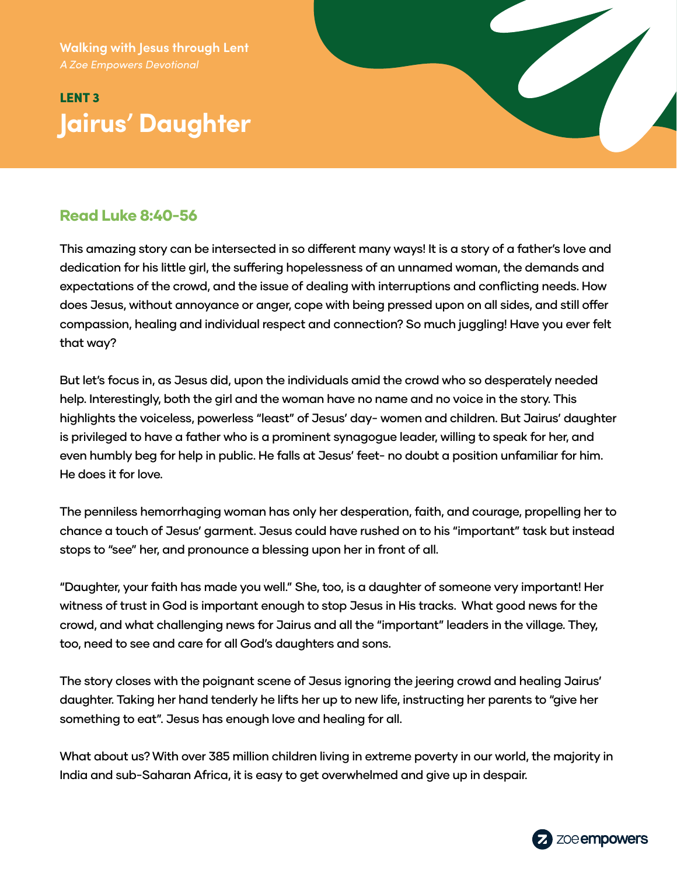**Walking with Jesus through Lent**

# LENT 3 **Jairus' Daughter**



### Read Luke 8:40-56

This amazing story can be intersected in so different many ways! It is a story of a father's love and dedication for his little girl, the suffering hopelessness of an unnamed woman, the demands and expectations of the crowd, and the issue of dealing with interruptions and conflicting needs. How does Jesus, without annoyance or anger, cope with being pressed upon on all sides, and still offer compassion, healing and individual respect and connection? So much juggling! Have you ever felt that way?

But let's focus in, as Jesus did, upon the individuals amid the crowd who so desperately needed help. Interestingly, both the girl and the woman have no name and no voice in the story. This highlights the voiceless, powerless "least" of Jesus' day- women and children. But Jairus' daughter is privileged to have a father who is a prominent synagogue leader, willing to speak for her, and even humbly beg for help in public. He falls at Jesus' feet- no doubt a position unfamiliar for him. He does it for love.

The penniless hemorrhaging woman has only her desperation, faith, and courage, propelling her to chance a touch of Jesus' garment. Jesus could have rushed on to his "important" task but instead stops to "see" her, and pronounce a blessing upon her in front of all.

"Daughter, your faith has made you well." She, too, is a daughter of someone very important! Her witness of trust in God is important enough to stop Jesus in His tracks. What good news for the crowd, and what challenging news for Jairus and all the "important" leaders in the village. They, too, need to see and care for all God's daughters and sons.

The story closes with the poignant scene of Jesus ignoring the jeering crowd and healing Jairus' daughter. Taking her hand tenderly he lifts her up to new life, instructing her parents to "give her something to eat". Jesus has enough love and healing for all.

What about us? With over 385 million children living in extreme poverty in our world, the majority in India and sub-Saharan Africa, it is easy to get overwhelmed and give up in despair.